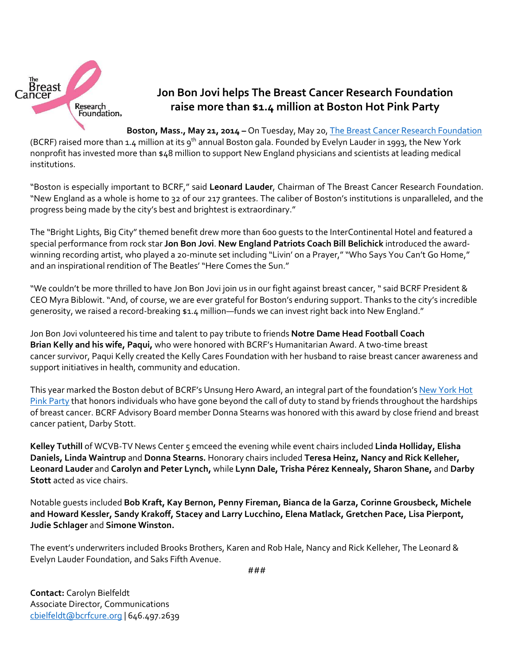

## **Jon Bon Jovi helps The Breast Cancer Research Foundation raise more than \$1.4 million at Boston Hot Pink Party**

**Boston, Mass., May 21, 2014 –** On Tuesday, May 20, [The Breast Cancer Research Foundation](http://www.bcrfcure.org/)

(BCRF) raised more than 1.4 million at its 9<sup>th</sup> annual Boston gala. Founded by Evelyn Lauder in 1993, the New York nonprofit has invested more than \$48 million to support New England physicians and scientists at leading medical institutions.

"Boston is especially important to BCRF," said **Leonard Lauder**, Chairman of The Breast Cancer Research Foundation. "New England as a whole is home to 32 of our 217 grantees. The caliber of Boston's institutions is unparalleled, and the progress being made by the city's best and brightest is extraordinary."

The "Bright Lights, Big City" themed benefit drew more than 600 guests to the InterContinental Hotel and featured a special performance from rock star **Jon Bon Jovi**. **New England Patriots Coach Bill Belichick** introduced the awardwinning recording artist, who played a 20-minute set including "Livin' on a Prayer," "Who Says You Can't Go Home," and an inspirational rendition of The Beatles' "Here Comes the Sun."

"We couldn't be more thrilled to have Jon Bon Jovi join us in our fight against breast cancer, " said BCRF President & CEO Myra Biblowit. "And, of course, we are ever grateful for Boston's enduring support. Thanks to the city's incredible generosity, we raised a record-breaking \$1.4 million—funds we can invest right back into New England."

Jon Bon Jovi volunteered his time and talent to pay tribute to friends **Notre Dame Head Football Coach Brian Kelly and his wife, Paqui,** who were honored with BCRF's Humanitarian Award. A two-time breast cancer survivor, Paqui Kelly created the Kelly Cares Foundation with her husband to raise breast cancer awareness and support initiatives in health, community and education.

This year marked the Boston debut of BCRF's Unsung Hero Award, an integral part of the foundation's [New York Hot](http://bcrfhotpinkparty.org/)  [Pink Party](http://bcrfhotpinkparty.org/) that honors individuals who have gone beyond the call of duty to stand by friends throughout the hardships of breast cancer. BCRF Advisory Board member Donna Stearns was honored with this award by close friend and breast cancer patient, Darby Stott.

**Kelley Tuthill** of WCVB-TV News Center 5 emceed the evening while event chairs included **Linda Holliday, Elisha Daniels, Linda Waintrup** and **Donna Stearns.** Honorary chairs included **Teresa Heinz, Nancy and Rick Kelleher, Leonard Lauder** and **Carolyn and Peter Lynch,** while **Lynn Dale, Trisha Pérez Kennealy, Sharon Shane,** and **Darby Stott** acted as vice chairs.

Notable guests included **Bob Kraft, Kay Bernon, Penny Fireman, Bianca de la Garza, Corinne Grousbeck, Michele and Howard Kessler, Sandy Krakoff, Stacey and Larry Lucchino, Elena Matlack, Gretchen Pace, Lisa Pierpont, Judie Schlager** and **Simone Winston.**

The event's underwriters included Brooks Brothers, Karen and Rob Hale, Nancy and Rick Kelleher, The Leonard & Evelyn Lauder Foundation, and Saks Fifth Avenue.

**Contact:** Carolyn Bielfeldt Associate Director, Communications [cbielfeldt@bcrfcure.org](mailto:cbielfeldt@bcrfcure.org) | 646.497.2639